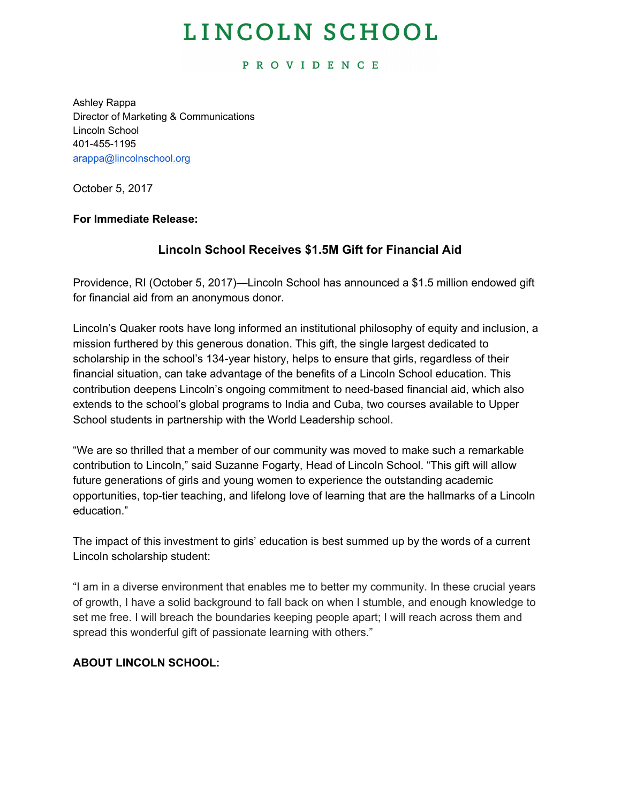# LINCOLN SCHOOL

#### **PROVIDENCE**

Ashley Rappa Director of Marketing & Communications Lincoln School 401-455-1195 [arappa@lincolnschool.org](mailto:arappa@lincolnschool.org)

October 5, 2017

## **For Immediate Release:**

## **Lincoln School Receives \$1.5M Gift for Financial Aid**

Providence, RI (October 5, 2017)—Lincoln School has announced a \$1.5 million endowed gift for financial aid from an anonymous donor.

Lincoln's Quaker roots have long informed an institutional philosophy of equity and inclusion, a mission furthered by this generous donation. This gift, the single largest dedicated to scholarship in the school's 134-year history, helps to ensure that girls, regardless of their financial situation, can take advantage of the benefits of a Lincoln School education. This contribution deepens Lincoln's ongoing commitment to need-based financial aid, which also extends to the school's global programs to India and Cuba, two courses available to Upper School students in partnership with the World Leadership school.

"We are so thrilled that a member of our community was moved to make such a remarkable contribution to Lincoln," said Suzanne Fogarty, Head of Lincoln School. "This gift will allow future generations of girls and young women to experience the outstanding academic opportunities, top-tier teaching, and lifelong love of learning that are the hallmarks of a Lincoln education."

The impact of this investment to girls' education is best summed up by the words of a current Lincoln scholarship student:

"I am in a diverse environment that enables me to better my community. In these crucial years of growth, I have a solid background to fall back on when I stumble, and enough knowledge to set me free. I will breach the boundaries keeping people apart; I will reach across them and spread this wonderful gift of passionate learning with others."

## **ABOUT LINCOLN SCHOOL:**